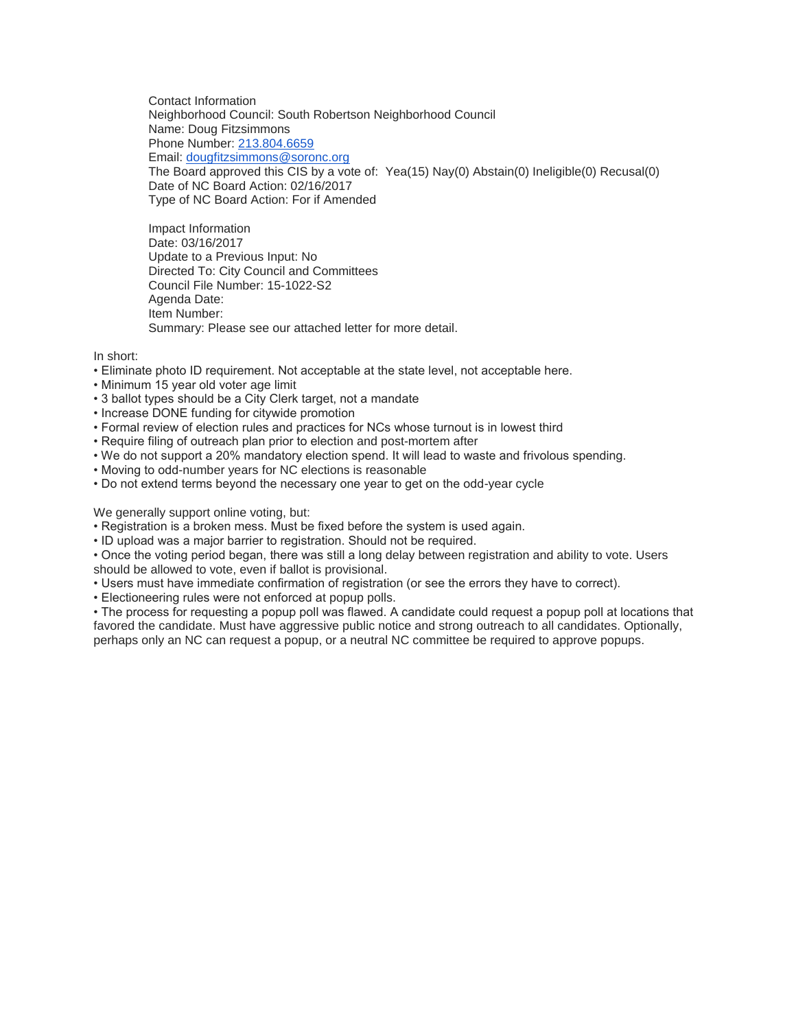Contact Information Neighborhood Council: South Robertson Neighborhood Council Name: Doug Fitzsimmons Phone Number: [213.804.6659](tel:213.804.6659) Email: [dougfitzsimmons@soronc.org](mailto:dougfitzsimmons@soronc.org) The Board approved this CIS by a vote of: Yea(15) Nay(0) Abstain(0) Ineligible(0) Recusal(0) Date of NC Board Action: 02/16/2017 Type of NC Board Action: For if Amended

Impact Information Date: 03/16/2017 Update to a Previous Input: No Directed To: City Council and Committees Council File Number: 15-1022-S2 Agenda Date: Item Number: Summary: Please see our attached letter for more detail.

In short:

- Eliminate photo ID requirement. Not acceptable at the state level, not acceptable here.
- Minimum 15 year old voter age limit
- 3 ballot types should be a City Clerk target, not a mandate
- Increase DONE funding for citywide promotion
- Formal review of election rules and practices for NCs whose turnout is in lowest third
- Require filing of outreach plan prior to election and post-mortem after
- We do not support a 20% mandatory election spend. It will lead to waste and frivolous spending.
- Moving to odd-number years for NC elections is reasonable
- Do not extend terms beyond the necessary one year to get on the odd-year cycle

We generally support online voting, but:

- Registration is a broken mess. Must be fixed before the system is used again.
- ID upload was a major barrier to registration. Should not be required.

• Once the voting period began, there was still a long delay between registration and ability to vote. Users should be allowed to vote, even if ballot is provisional.

- Users must have immediate confirmation of registration (or see the errors they have to correct).
- Electioneering rules were not enforced at popup polls.

• The process for requesting a popup poll was flawed. A candidate could request a popup poll at locations that favored the candidate. Must have aggressive public notice and strong outreach to all candidates. Optionally, perhaps only an NC can request a popup, or a neutral NC committee be required to approve popups.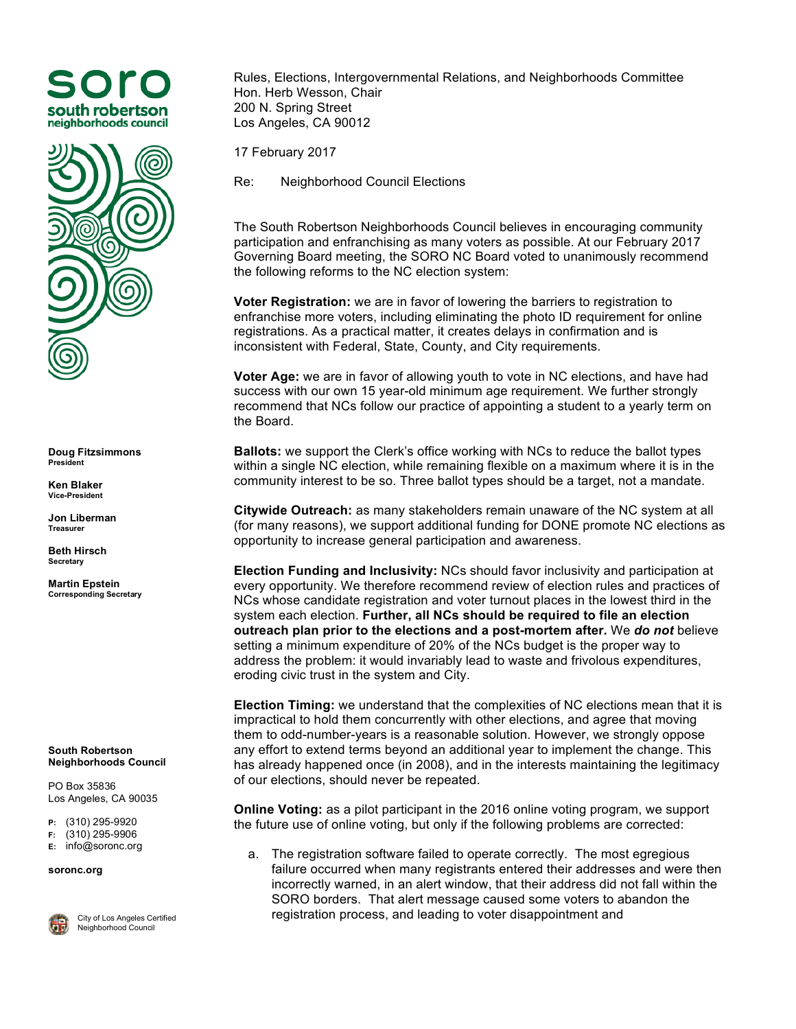



**Doug Fitzsimmons President**

**Ken Blaker Vice-President**

**Jon Liberman Treasurer**

**Beth Hirsch Secretary**

**Martin Epstein Corresponding Secretary**

**South Robertson Neighborhoods Council**

PO Box 35836 Los Angeles, CA 90035

**P:** (310) 295-9920

**F:** (310) 295-9906

**E:** info@soronc.org

**soronc.org**



City of Los Angeles Certified Neighborhood Council

Rules, Elections, Intergovernmental Relations, and Neighborhoods Committee Hon. Herb Wesson, Chair 200 N. Spring Street Los Angeles, CA 90012

17 February 2017

Re: Neighborhood Council Elections

The South Robertson Neighborhoods Council believes in encouraging community participation and enfranchising as many voters as possible. At our February 2017 Governing Board meeting, the SORO NC Board voted to unanimously recommend the following reforms to the NC election system:

**Voter Registration:** we are in favor of lowering the barriers to registration to enfranchise more voters, including eliminating the photo ID requirement for online registrations. As a practical matter, it creates delays in confirmation and is inconsistent with Federal, State, County, and City requirements.

**Voter Age:** we are in favor of allowing youth to vote in NC elections, and have had success with our own 15 year-old minimum age requirement. We further strongly recommend that NCs follow our practice of appointing a student to a yearly term on the Board.

**Ballots:** we support the Clerk's office working with NCs to reduce the ballot types within a single NC election, while remaining flexible on a maximum where it is in the community interest to be so. Three ballot types should be a target, not a mandate.

**Citywide Outreach:** as many stakeholders remain unaware of the NC system at all (for many reasons), we support additional funding for DONE promote NC elections as opportunity to increase general participation and awareness.

**Election Funding and Inclusivity:** NCs should favor inclusivity and participation at every opportunity. We therefore recommend review of election rules and practices of NCs whose candidate registration and voter turnout places in the lowest third in the system each election. **Further, all NCs should be required to file an election outreach plan prior to the elections and a post-mortem after.** We *do not* believe setting a minimum expenditure of 20% of the NCs budget is the proper way to address the problem: it would invariably lead to waste and frivolous expenditures, eroding civic trust in the system and City.

**Election Timing:** we understand that the complexities of NC elections mean that it is impractical to hold them concurrently with other elections, and agree that moving them to odd-number-years is a reasonable solution. However, we strongly oppose any effort to extend terms beyond an additional year to implement the change. This has already happened once (in 2008), and in the interests maintaining the legitimacy of our elections, should never be repeated.

**Online Voting:** as a pilot participant in the 2016 online voting program, we support the future use of online voting, but only if the following problems are corrected:

a. The registration software failed to operate correctly. The most egregious failure occurred when many registrants entered their addresses and were then incorrectly warned, in an alert window, that their address did not fall within the SORO borders. That alert message caused some voters to abandon the registration process, and leading to voter disappointment and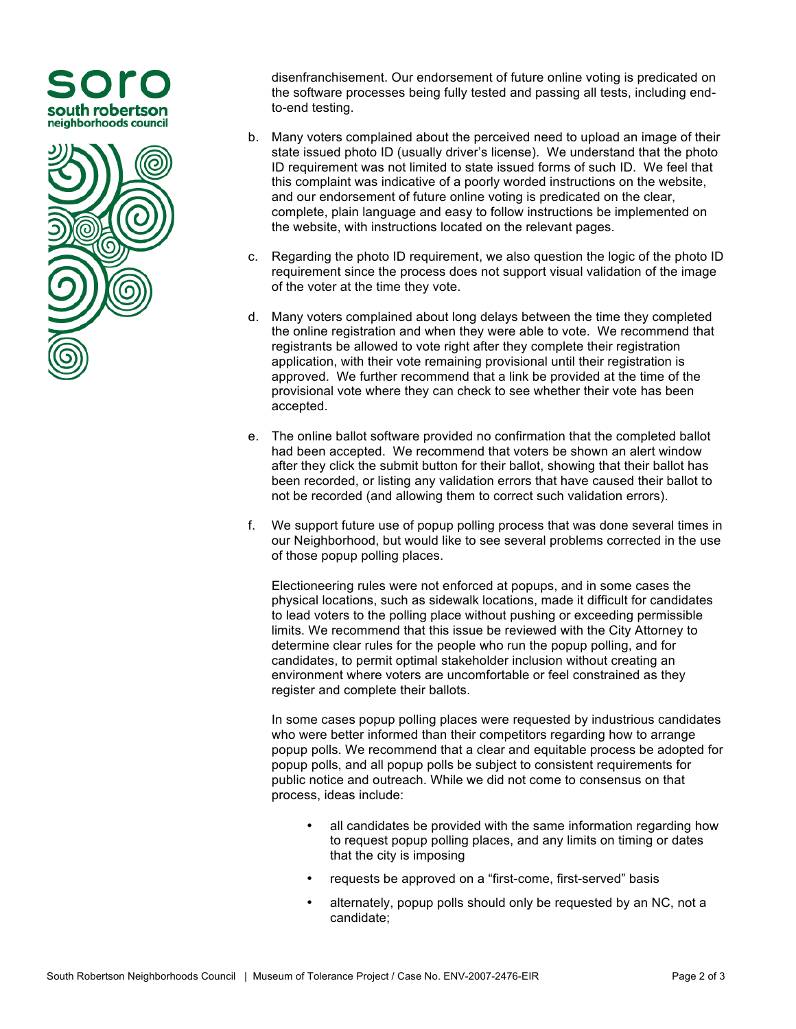## south robertson neighborhoods council



disenfranchisement. Our endorsement of future online voting is predicated on the software processes being fully tested and passing all tests, including endto-end testing.

- b. Many voters complained about the perceived need to upload an image of their state issued photo ID (usually driver's license). We understand that the photo ID requirement was not limited to state issued forms of such ID. We feel that this complaint was indicative of a poorly worded instructions on the website, and our endorsement of future online voting is predicated on the clear, complete, plain language and easy to follow instructions be implemented on the website, with instructions located on the relevant pages.
- c. Regarding the photo ID requirement, we also question the logic of the photo ID requirement since the process does not support visual validation of the image of the voter at the time they vote.
- d. Many voters complained about long delays between the time they completed the online registration and when they were able to vote. We recommend that registrants be allowed to vote right after they complete their registration application, with their vote remaining provisional until their registration is approved. We further recommend that a link be provided at the time of the provisional vote where they can check to see whether their vote has been accepted.
- e. The online ballot software provided no confirmation that the completed ballot had been accepted. We recommend that voters be shown an alert window after they click the submit button for their ballot, showing that their ballot has been recorded, or listing any validation errors that have caused their ballot to not be recorded (and allowing them to correct such validation errors).
- f. We support future use of popup polling process that was done several times in our Neighborhood, but would like to see several problems corrected in the use of those popup polling places.

Electioneering rules were not enforced at popups, and in some cases the physical locations, such as sidewalk locations, made it difficult for candidates to lead voters to the polling place without pushing or exceeding permissible limits. We recommend that this issue be reviewed with the City Attorney to determine clear rules for the people who run the popup polling, and for candidates, to permit optimal stakeholder inclusion without creating an environment where voters are uncomfortable or feel constrained as they register and complete their ballots.

In some cases popup polling places were requested by industrious candidates who were better informed than their competitors regarding how to arrange popup polls. We recommend that a clear and equitable process be adopted for popup polls, and all popup polls be subject to consistent requirements for public notice and outreach. While we did not come to consensus on that process, ideas include:

- all candidates be provided with the same information regarding how to request popup polling places, and any limits on timing or dates that the city is imposing
- requests be approved on a "first-come, first-served" basis
- alternately, popup polls should only be requested by an NC, not a candidate;